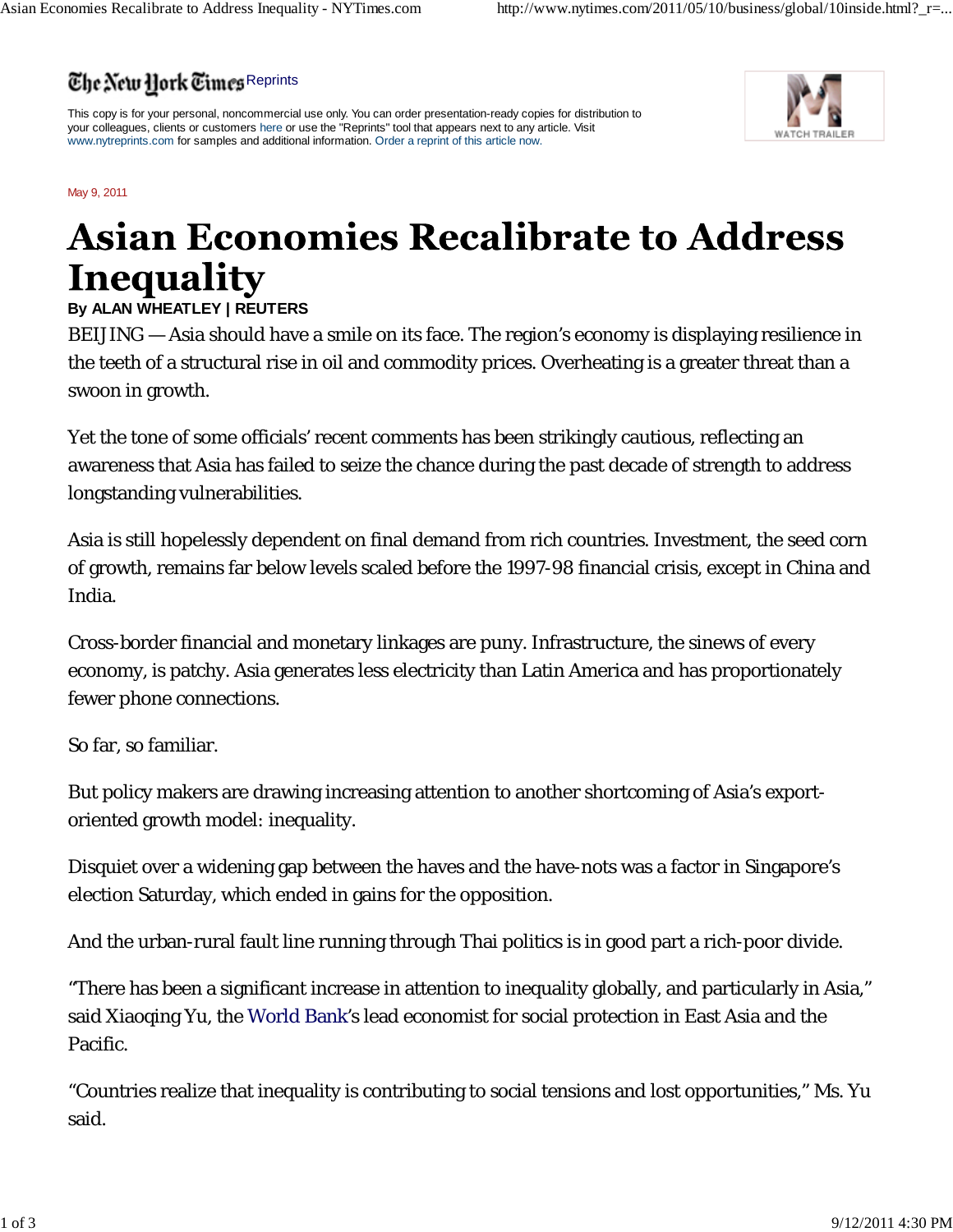## The New Hork Times Reprints

This copy is for your personal, noncommercial use only. You can order presentation-ready copies for distribution to your colleagues, clients or customers here or use the "Reprints" tool that appears next to any article. Visit www.nytreprints.com for samples and additional information. Order a reprint of this article now.



May 9, 2011

## **Asian Economies Recalibrate to Address Inequality**

## **By ALAN WHEATLEY | REUTERS**

BEIJING — Asia should have a smile on its face. The region's economy is displaying resilience in the teeth of a structural rise in oil and commodity prices. Overheating is a greater threat than a swoon in growth.

Yet the tone of some officials' recent comments has been strikingly cautious, reflecting an awareness that Asia has failed to seize the chance during the past decade of strength to address longstanding vulnerabilities.

Asia is still hopelessly dependent on final demand from rich countries. Investment, the seed corn of growth, remains far below levels scaled before the 1997-98 financial crisis, except in China and India.

Cross-border financial and monetary linkages are puny. Infrastructure, the sinews of every economy, is patchy. Asia generates less electricity than Latin America and has proportionately fewer phone connections.

So far, so familiar.

But policy makers are drawing increasing attention to another shortcoming of Asia's exportoriented growth model: inequality.

Disquiet over a widening gap between the haves and the have-nots was a factor in Singapore's election Saturday, which ended in gains for the opposition.

And the urban-rural fault line running through Thai politics is in good part a rich-poor divide.

"There has been a significant increase in attention to inequality globally, and particularly in Asia," said Xiaoqing Yu, the World Bank's lead economist for social protection in East Asia and the Pacific.

"Countries realize that inequality is contributing to social tensions and lost opportunities," Ms. Yu said.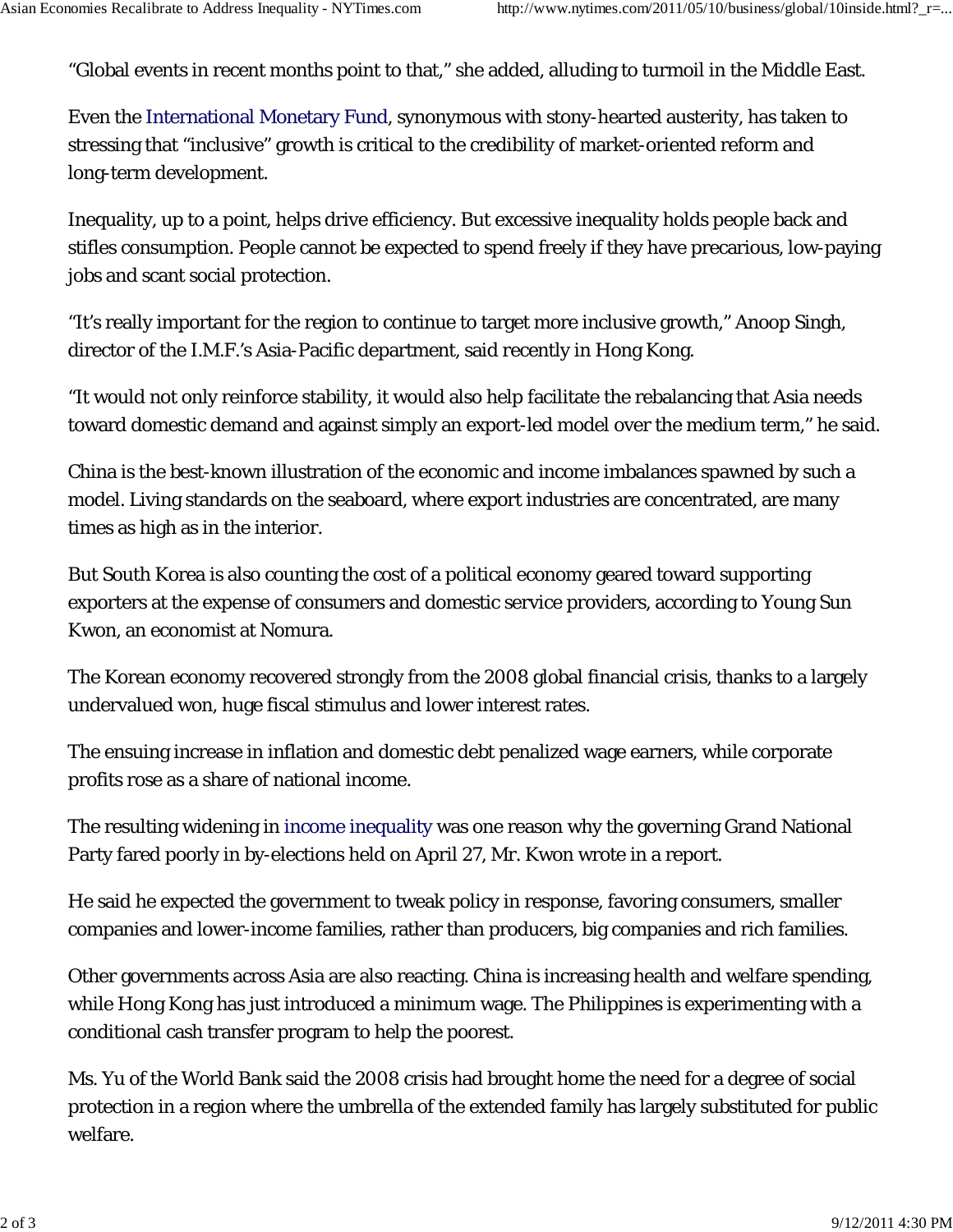"Global events in recent months point to that," she added, alluding to turmoil in the Middle East.

Even the International Monetary Fund, synonymous with stony-hearted austerity, has taken to stressing that "inclusive" growth is critical to the credibility of market-oriented reform and long-term development.

Inequality, up to a point, helps drive efficiency. But excessive inequality holds people back and stifles consumption. People cannot be expected to spend freely if they have precarious, low-paying jobs and scant social protection.

"It's really important for the region to continue to target more inclusive growth," Anoop Singh, director of the I.M.F.'s Asia-Pacific department, said recently in Hong Kong.

"It would not only reinforce stability, it would also help facilitate the rebalancing that Asia needs toward domestic demand and against simply an export-led model over the medium term," he said.

China is the best-known illustration of the economic and income imbalances spawned by such a model. Living standards on the seaboard, where export industries are concentrated, are many times as high as in the interior.

But South Korea is also counting the cost of a political economy geared toward supporting exporters at the expense of consumers and domestic service providers, according to Young Sun Kwon, an economist at Nomura.

The Korean economy recovered strongly from the 2008 global financial crisis, thanks to a largely undervalued won, huge fiscal stimulus and lower interest rates.

The ensuing increase in inflation and domestic debt penalized wage earners, while corporate profits rose as a share of national income.

The resulting widening in income inequality was one reason why the governing Grand National Party fared poorly in by-elections held on April 27, Mr. Kwon wrote in a report.

He said he expected the government to tweak policy in response, favoring consumers, smaller companies and lower-income families, rather than producers, big companies and rich families.

Other governments across Asia are also reacting. China is increasing health and welfare spending, while Hong Kong has just introduced a minimum wage. The Philippines is experimenting with a conditional cash transfer program to help the poorest.

Ms. Yu of the World Bank said the 2008 crisis had brought home the need for a degree of social protection in a region where the umbrella of the extended family has largely substituted for public welfare.